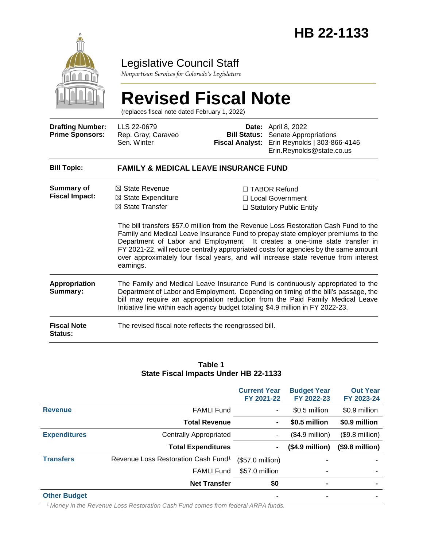

### Legislative Council Staff

*Nonpartisan Services for Colorado's Legislature*

# **Revised Fiscal Note**

(replaces fiscal note dated February 1, 2022)

| <b>Drafting Number:</b><br><b>Prime Sponsors:</b> | LLS 22-0679<br>Rep. Gray; Caraveo<br>Sen. Winter                                                                                                                                                                                                                                                                                           | <b>Fiscal Analyst:</b> | <b>Date:</b> April 8, 2022<br><b>Bill Status:</b> Senate Appropriations<br>Erin Reynolds   303-866-4146<br>Erin.Reynolds@state.co.us                                                                                                                                                                                                   |  |  |
|---------------------------------------------------|--------------------------------------------------------------------------------------------------------------------------------------------------------------------------------------------------------------------------------------------------------------------------------------------------------------------------------------------|------------------------|----------------------------------------------------------------------------------------------------------------------------------------------------------------------------------------------------------------------------------------------------------------------------------------------------------------------------------------|--|--|
| <b>Bill Topic:</b>                                | <b>FAMILY &amp; MEDICAL LEAVE INSURANCE FUND</b>                                                                                                                                                                                                                                                                                           |                        |                                                                                                                                                                                                                                                                                                                                        |  |  |
| <b>Summary of</b><br><b>Fiscal Impact:</b>        | $\boxtimes$ State Revenue<br>$\boxtimes$ State Expenditure<br>$\boxtimes$ State Transfer                                                                                                                                                                                                                                                   |                        | □ TABOR Refund<br>$\Box$ Local Government<br>$\Box$ Statutory Public Entity<br>The bill transfers \$57.0 million from the Revenue Loss Restoration Cash Fund to the<br>Family and Medical Leave Insurance Fund to prepay state employer premiums to the<br>Department of Labor and Employment. It creates a one-time state transfer in |  |  |
|                                                   | FY 2021-22, will reduce centrally appropriated costs for agencies by the same amount<br>over approximately four fiscal years, and will increase state revenue from interest<br>earnings.                                                                                                                                                   |                        |                                                                                                                                                                                                                                                                                                                                        |  |  |
| <b>Appropriation</b><br>Summary:                  | The Family and Medical Leave Insurance Fund is continuously appropriated to the<br>Department of Labor and Employment. Depending on timing of the bill's passage, the<br>bill may require an appropriation reduction from the Paid Family Medical Leave<br>Initiative line within each agency budget totaling \$4.9 million in FY 2022-23. |                        |                                                                                                                                                                                                                                                                                                                                        |  |  |
| <b>Fiscal Note</b><br>Status:                     | The revised fiscal note reflects the reengrossed bill.                                                                                                                                                                                                                                                                                     |                        |                                                                                                                                                                                                                                                                                                                                        |  |  |

#### **Table 1 State Fiscal Impacts Under HB 22-1133**

|                     |                                                 | <b>Current Year</b><br>FY 2021-22 | <b>Budget Year</b><br>FY 2022-23 | <b>Out Year</b><br>FY 2023-24 |
|---------------------|-------------------------------------------------|-----------------------------------|----------------------------------|-------------------------------|
| <b>Revenue</b>      | <b>FAMLI Fund</b>                               | $\blacksquare$                    | \$0.5 million                    | \$0.9 million                 |
|                     | <b>Total Revenue</b>                            | $\blacksquare$                    | \$0.5 million                    | \$0.9 million                 |
| <b>Expenditures</b> | <b>Centrally Appropriated</b>                   |                                   | $($4.9$ million)                 | (\$9.8 million)               |
|                     | <b>Total Expenditures</b>                       | $\blacksquare$                    | $($4.9$ million $)$              | $($9.8 \text{ million})$      |
| <b>Transfers</b>    | Revenue Loss Restoration Cash Fund <sup>1</sup> | $($57.0 \text{ million})$         |                                  |                               |
|                     | <b>FAMLI Fund</b>                               | \$57.0 million                    | ٠                                |                               |
|                     | <b>Net Transfer</b>                             | \$0                               | ٠                                | $\blacksquare$                |
| <b>Other Budget</b> |                                                 | ۰                                 | ٠                                | ۰                             |

*<sup>1</sup>Money in the Revenue Loss Restoration Cash Fund comes from federal ARPA funds.*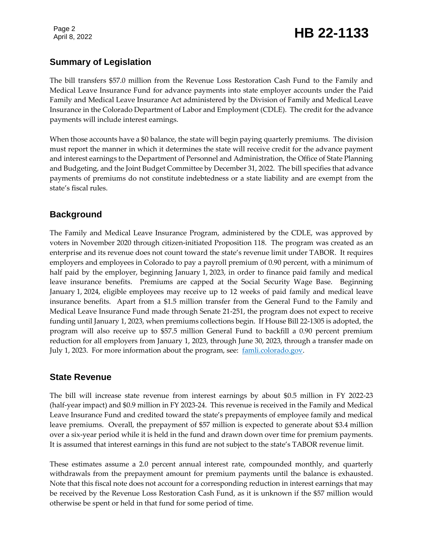Page 2

## Page 2<br>April 8, 2022 **HB 22-1133**

#### **Summary of Legislation**

The bill transfers \$57.0 million from the Revenue Loss Restoration Cash Fund to the Family and Medical Leave Insurance Fund for advance payments into state employer accounts under the Paid Family and Medical Leave Insurance Act administered by the Division of Family and Medical Leave Insurance in the Colorado Department of Labor and Employment (CDLE). The credit for the advance payments will include interest earnings.

When those accounts have a \$0 balance, the state will begin paying quarterly premiums. The division must report the manner in which it determines the state will receive credit for the advance payment and interest earnings to the Department of Personnel and Administration, the Office of State Planning and Budgeting, and the Joint Budget Committee by December 31, 2022. The bill specifies that advance payments of premiums do not constitute indebtedness or a state liability and are exempt from the state's fiscal rules.

#### **Background**

The Family and Medical Leave Insurance Program, administered by the CDLE, was approved by voters in November 2020 through citizen-initiated Proposition 118. The program was created as an enterprise and its revenue does not count toward the state's revenue limit under TABOR. It requires employers and employees in Colorado to pay a payroll premium of 0.90 percent, with a minimum of half paid by the employer, beginning January 1, 2023, in order to finance paid family and medical leave insurance benefits. Premiums are capped at the Social Security Wage Base. Beginning January 1, 2024, eligible employees may receive up to 12 weeks of paid family and medical leave insurance benefits. Apart from a \$1.5 million transfer from the General Fund to the Family and Medical Leave Insurance Fund made through Senate 21-251, the program does not expect to receive funding until January 1, 2023, when premiums collections begin. If House Bill 22-1305 is adopted, the program will also receive up to \$57.5 million General Fund to backfill a 0.90 percent premium reduction for all employers from January 1, 2023, through June 30, 2023, through a transfer made on July 1, 2023. For more information about the program, see: [famli.colorado.gov.](https://famli.colorado.gov/)

#### **State Revenue**

The bill will increase state revenue from interest earnings by about \$0.5 million in FY 2022-23 (half-year impact) and \$0.9 million in FY 2023-24. This revenue is received in the Family and Medical Leave Insurance Fund and credited toward the state's prepayments of employee family and medical leave premiums. Overall, the prepayment of \$57 million is expected to generate about \$3.4 million over a six-year period while it is held in the fund and drawn down over time for premium payments. It is assumed that interest earnings in this fund are not subject to the state's TABOR revenue limit.

These estimates assume a 2.0 percent annual interest rate, compounded monthly, and quarterly withdrawals from the prepayment amount for premium payments until the balance is exhausted. Note that this fiscal note does not account for a corresponding reduction in interest earnings that may be received by the Revenue Loss Restoration Cash Fund, as it is unknown if the \$57 million would otherwise be spent or held in that fund for some period of time.